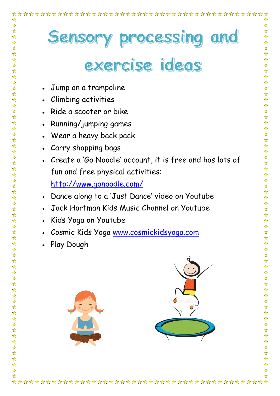## Sensory processing and

## exercise ideas

- Jump on a trampoline
- Climbing activities

☆

\*\*\*\*\*\*

 $\frac{1}{\sqrt{2}}$ 

- Ride a scooter or bike
- Running/jumping games
- Wear a heavy back pack
- Carry shopping bags
- Create a 'Go Noodle' account, it is free and has lots of fun and free physical activities: <http://www.gonoodle.com/>
- Dance along to a 'Just Dance' video on Youtube
- Jack Hartman Kids Music Channel on Youtube
- Kids Yoga on Youtube
- Cosmic Kids Yoga [www.cosmickidsyoga.com](http://www.cosmickidsyoga.com/)
- Play Dough

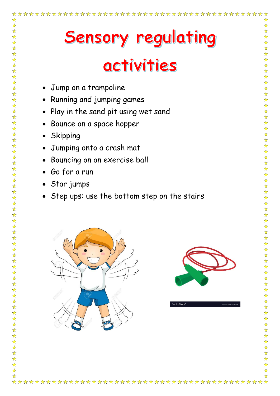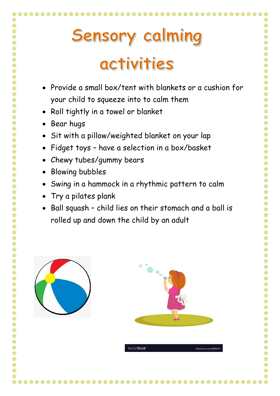## Sensory calming activities

- Provide a small box/tent with blankets or a cushion for your child to squeeze into to calm them
- Roll tightly in a towel or blanket
- Bear hugs

☆

- Sit with a pillow/weighted blanket on your lap
- Fidget toys have a selection in a box/basket
- Chewy tubes/gummy bears
- Blowing bubbles
- Swing in a hammock in a rhythmic pattern to calm
- Try a pilates plank
- Ball squash child lies on their stomach and a ball is rolled up and down the child by an adult